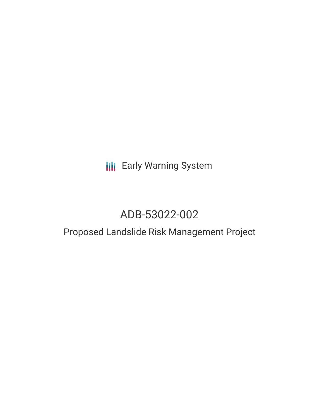# **III** Early Warning System

# ADB-53022-002

## Proposed Landslide Risk Management Project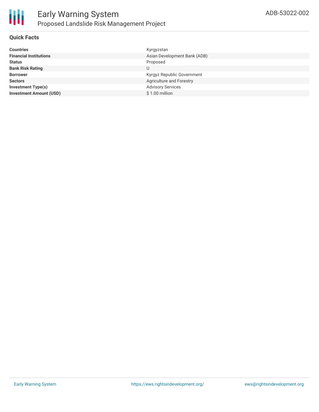

#### **Quick Facts**

| <b>Countries</b>               | Kyrgyzstan                   |
|--------------------------------|------------------------------|
| <b>Financial Institutions</b>  | Asian Development Bank (ADB) |
| <b>Status</b>                  | Proposed                     |
| <b>Bank Risk Rating</b>        | U                            |
| <b>Borrower</b>                | Kyrgyz Republic Government   |
| <b>Sectors</b>                 | Agriculture and Forestry     |
| <b>Investment Type(s)</b>      | <b>Advisory Services</b>     |
| <b>Investment Amount (USD)</b> | \$1.00 million               |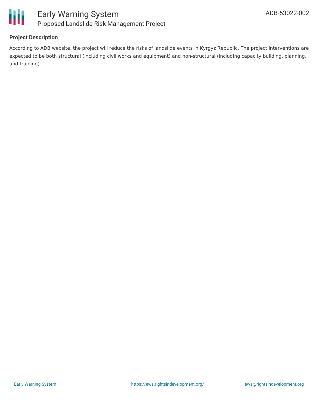

#### **Project Description**

According to ADB website, the project will reduce the risks of landslide events in Kyrgyz Republic. The project interventions are expected to be both structural (including civil works and equipment) and non-structural (including capacity building, planning, and training).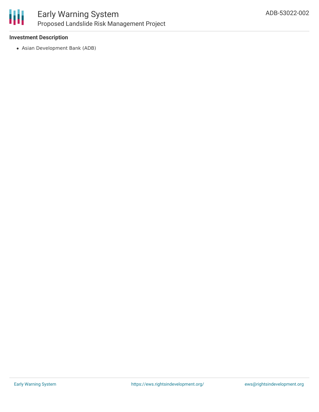

## Early Warning System Proposed Landslide Risk Management Project

#### **Investment Description**

Asian Development Bank (ADB)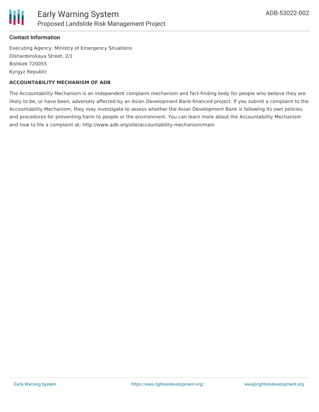

#### **Contact Information**

Executing Agency: Ministry of Emergency Situations Dishanbinskaya Street, 2/1 Bishkek 720055 Kyrgyz Republic

#### **ACCOUNTABILITY MECHANISM OF ADB**

The Accountability Mechanism is an independent complaint mechanism and fact-finding body for people who believe they are likely to be, or have been, adversely affected by an Asian Development Bank-financed project. If you submit a complaint to the Accountability Mechanism, they may investigate to assess whether the Asian Development Bank is following its own policies and procedures for preventing harm to people or the environment. You can learn more about the Accountability Mechanism and how to file a complaint at: http://www.adb.org/site/accountability-mechanism/main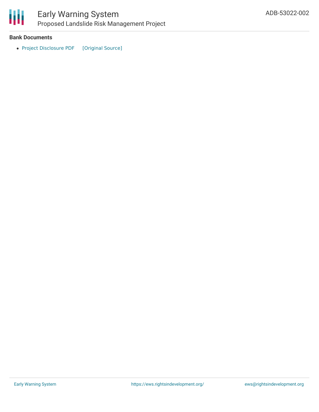

### Early Warning System Proposed Landslide Risk Management Project

#### **Bank Documents**

• Project [Disclosure](https://ewsdata.rightsindevelopment.org/files/documents/02/ADB-53022-002.pdf) PDF [\[Original](https://www.adb.org/printpdf/projects/53022-002/main) Source]